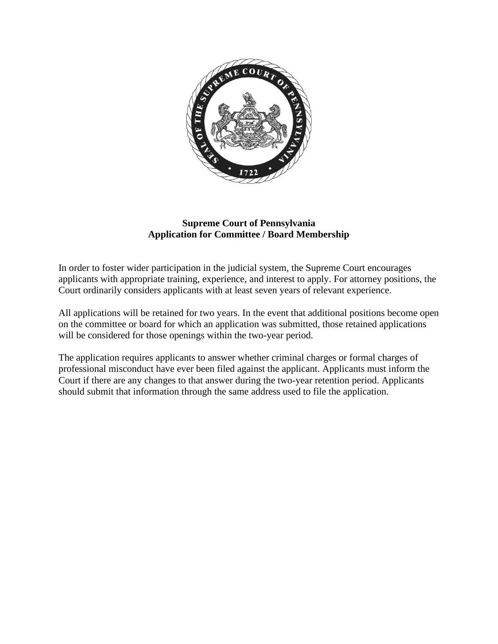

#### **Supreme Court of Pennsylvania Application for Committee / Board Membership**

In order to foster wider participation in the judicial system, the Supreme Court encourages applicants with appropriate training, experience, and interest to apply. For attorney positions, the Court ordinarily considers applicants with at least seven years of relevant experience.

All applications will be retained for two years. In the event that additional positions become open on the committee or board for which an application was submitted, those retained applications will be considered for those openings within the two-year period.

The application requires applicants to answer whether criminal charges or formal charges of professional misconduct have ever been filed against the applicant. Applicants must inform the Court if there are any changes to that answer during the two-year retention period. Applicants should submit that information through the same address used to file the application.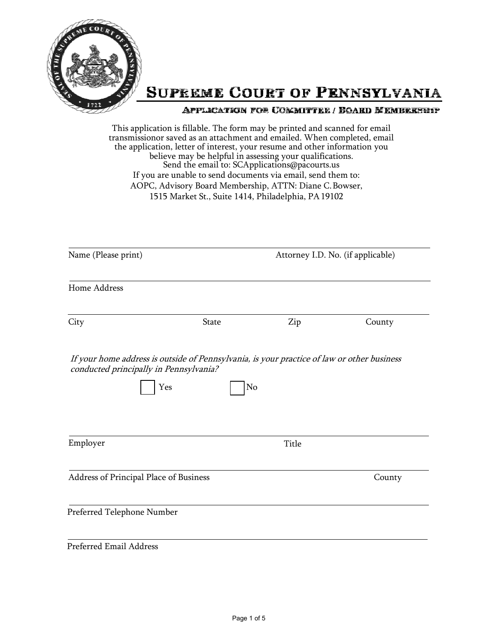

This application is fillable. The form may be printed and scanned for email transmissionor saved as an attachment and emailed. When completed, email the application, letter of interest, your resume and other information you believe may be helpful in assessing your qualifications. Send the email to: [SCApplications@pacourts.us](mailto:SCApplications@pacourts.us) If you are unable to send documents via email, send them to: AOPC, Advisory Board Membership, ATTN: Diane C.Bowser, 1515 Market St., Suite 1414, Philadelphia, PA19102

| Name (Please print)                                                                                                                         |       |              | Attorney I.D. No. (if applicable) |
|---------------------------------------------------------------------------------------------------------------------------------------------|-------|--------------|-----------------------------------|
| Home Address                                                                                                                                |       |              |                                   |
| City                                                                                                                                        | State | Zip          | County                            |
| If your home address is outside of Pennsylvania, is your practice of law or other business<br>conducted principally in Pennsylvania?<br>Yes | No    |              |                                   |
| Employer                                                                                                                                    |       | <b>Title</b> |                                   |
|                                                                                                                                             |       |              |                                   |
|                                                                                                                                             |       |              | County                            |
| Address of Principal Place of Business<br>Preferred Telephone Number                                                                        |       |              |                                   |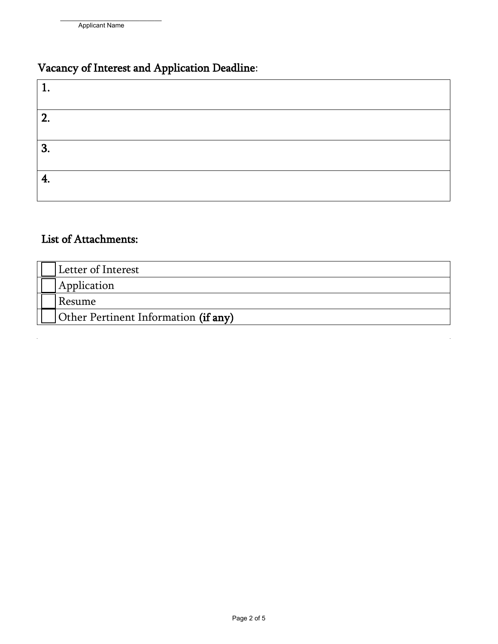# Vacancy of Interest and Application Deadline:

| 2. |  |  |
|----|--|--|
| 3. |  |  |
| I, |  |  |

## List of Attachments:

 $\hat{\mathbf{r}}$ 

| Letter of Interest                   |
|--------------------------------------|
| Application                          |
| Resume                               |
| Other Pertinent Information (if any) |

 $\hat{\mathbf{r}}$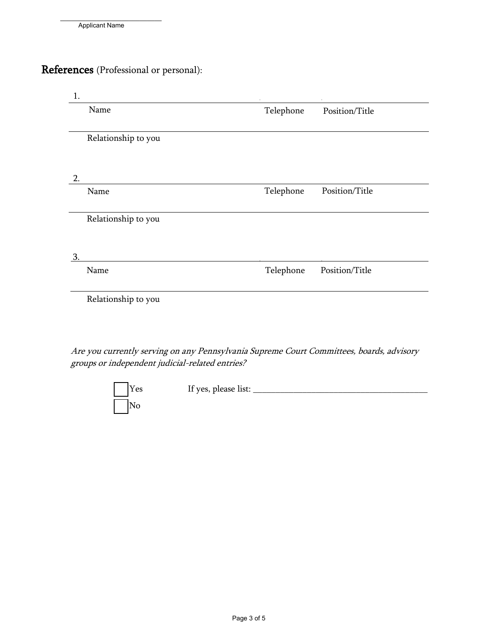# References (Professional or personal):

| 1. |                     |           |                |
|----|---------------------|-----------|----------------|
|    | Name                | Telephone | Position/Title |
|    |                     |           |                |
|    | Relationship to you |           |                |
|    |                     |           |                |
| 2. |                     |           |                |
|    | Name                | Telephone | Position/Title |
|    |                     |           |                |
|    | Relationship to you |           |                |
|    |                     |           |                |
|    |                     |           |                |
| 3  |                     |           |                |
|    | Name                | Telephone | Position/Title |
|    |                     |           |                |
|    | Relationship to you |           |                |
|    |                     |           |                |

Are you currently serving on any Pennsylvania Supreme Court Committees, boards, advisory groups or independent judicial-related entries?

| $\vert$ Yes | If yes, please list: |
|-------------|----------------------|
| $\vert$ No  |                      |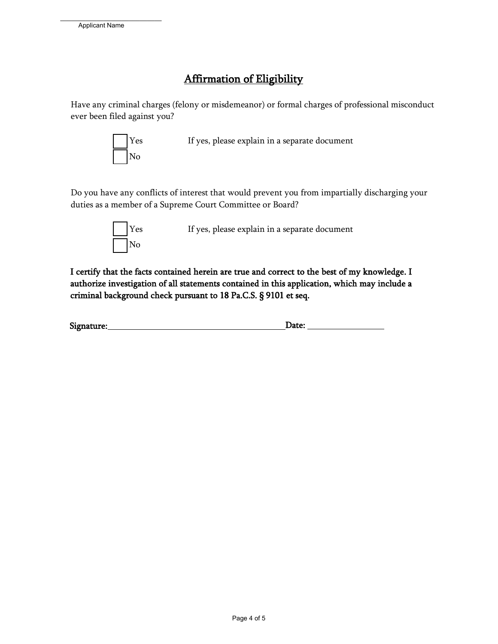## Affirmation of Eligibility

Have any criminal charges (felony or misdemeanor) or formal charges of professional misconduct ever been filed against you?



Yes If yes, please explain in a separate document

Do you have any conflicts of interest that would prevent you from impartially discharging your duties as a member of a Supreme Court Committee or Board?



Yes If yes, please explain in a separate document

I certify that the facts contained herein are true and correct to the best of my knowledge. I authorize investigation of all statements contained in this application, which may include a criminal background check pursuant to 18 Pa.C.S. § 9101 et seq.